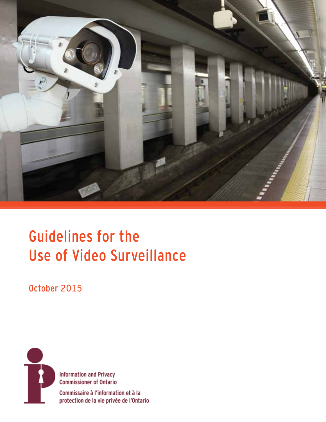

# Guidelines for the Use of Video Surveillance

October 2015



**Information and Privacy Commissioner of Ontario** 

Commissaire à l'information et à la protection de la vie privée de l'Ontario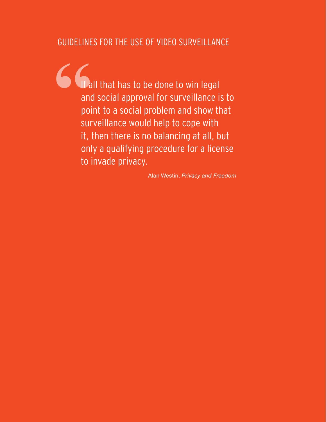# GUIDELINES FOR THE USE OF VIDEO SURVEILLANCE

**"** If all that has to be done to win legal and social approval for surveillance is to point to a social problem and show that surveillance would help to cope with it, then there is no balancing at all, but only a qualifying procedure for a license to invade privacy.

Alan Westin, *Privacy and Freedom*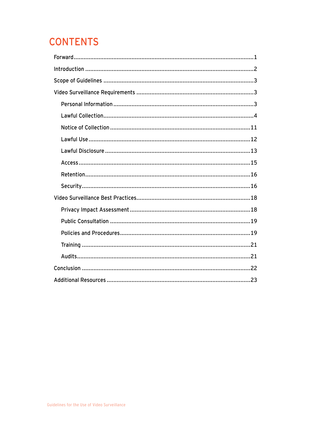# **CONTENTS**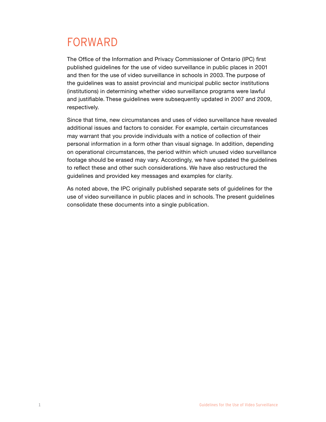# <span id="page-3-0"></span>FORWARD

The Office of the Information and Privacy Commissioner of Ontario (IPC) first published guidelines for the use of video surveillance in public places in 2001 and then for the use of video surveillance in schools in 2003. The purpose of the guidelines was to assist provincial and municipal public sector institutions (institutions) in determining whether video surveillance programs were lawful and justifiable. These guidelines were subsequently updated in 2007 and 2009, respectively.

Since that time, new circumstances and uses of video surveillance have revealed additional issues and factors to consider. For example, certain circumstances may warrant that you provide individuals with a notice of collection of their personal information in a form other than visual signage. In addition, depending on operational circumstances, the period within which unused video surveillance footage should be erased may vary. Accordingly, we have updated the guidelines to reflect these and other such considerations. We have also restructured the guidelines and provided key messages and examples for clarity.

As noted above, the IPC originally published separate sets of guidelines for the use of video surveillance in public places and in schools. The present guidelines consolidate these documents into a single publication.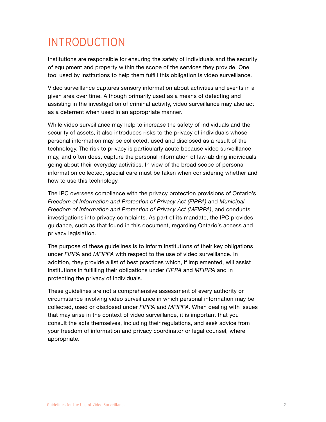# <span id="page-4-0"></span>INTRODUCTION

Institutions are responsible for ensuring the safety of individuals and the security of equipment and property within the scope of the services they provide. One tool used by institutions to help them fulfill this obligation is video surveillance.

Video surveillance captures sensory information about activities and events in a given area over time. Although primarily used as a means of detecting and assisting in the investigation of criminal activity, video surveillance may also act as a deterrent when used in an appropriate manner.

While video surveillance may help to increase the safety of individuals and the security of assets, it also introduces risks to the privacy of individuals whose personal information may be collected, used and disclosed as a result of the technology. The risk to privacy is particularly acute because video surveillance may, and often does, capture the personal information of law-abiding individuals going about their everyday activities. In view of the broad scope of personal information collected, special care must be taken when considering whether and how to use this technology.

The IPC oversees compliance with the privacy protection provisions of Ontario's *Freedom of Information and Protection of Privacy Act (FIPPA)* and *Municipal Freedom of Information and Protection of Privacy Act (MFIPPA)*, and conducts investigations into privacy complaints. As part of its mandate, the IPC provides guidance, such as that found in this document, regarding Ontario's access and privacy legislation.

The purpose of these guidelines is to inform institutions of their key obligations under *FIPPA* and *MFIPPA* with respect to the use of video surveillance. In addition, they provide a list of best practices which, if implemented, will assist institutions in fulfilling their obligations under *FIPPA* and *MFIPPA* and in protecting the privacy of individuals.

These guidelines are not a comprehensive assessment of every authority or circumstance involving video surveillance in which personal information may be collected, used or disclosed under *FIPPA* and *MFIPPA*. When dealing with issues that may arise in the context of video surveillance, it is important that you consult the acts themselves, including their regulations, and seek advice from your freedom of information and privacy coordinator or legal counsel, where appropriate.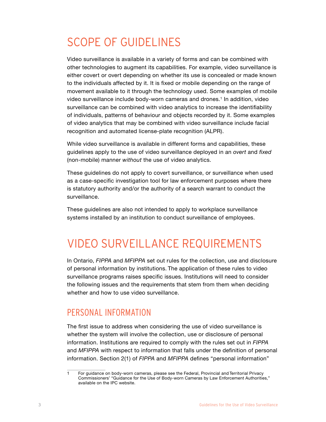# <span id="page-5-0"></span>SCOPE OF GUIDELINES

Video surveillance is available in a variety of forms and can be combined with other technologies to augment its capabilities. For example, video surveillance is either covert or overt depending on whether its use is concealed or made known to the individuals affected by it. It is fixed or mobile depending on the range of movement available to it through the technology used. Some examples of mobile video surveillance include body-worn cameras and drones.1 In addition, video surveillance can be combined with video analytics to increase the identifiability of individuals, patterns of behaviour and objects recorded by it. Some examples of video analytics that may be combined with video surveillance include facial recognition and automated license-plate recognition (ALPR).

While video surveillance is available in different forms and capabilities, these guidelines apply to the use of video surveillance deployed in an *overt* and *fixed* (non-mobile) manner *without* the use of video analytics.

These guidelines do not apply to covert surveillance, or surveillance when used as a case-specific investigation tool for law enforcement purposes where there is statutory authority and/or the authority of a search warrant to conduct the surveillance.

These guidelines are also not intended to apply to workplace surveillance systems installed by an institution to conduct surveillance of employees.

# VIDEO SURVEILLANCE REQUIREMENTS

In Ontario, *FIPPA* and *MFIPPA* set out rules for the collection, use and disclosure of personal information by institutions. The application of these rules to video surveillance programs raises specific issues. Institutions will need to consider the following issues and the requirements that stem from them when deciding whether and how to use video surveillance.

# PERSONAL INFORMATION

The first issue to address when considering the use of video surveillance is whether the system will involve the collection, use or disclosure of personal information. Institutions are required to comply with the rules set out in *FIPPA* and *MFIPPA* with respect to information that falls under the definition of personal information. Section 2(1) of *FIPPA* and *MFIPPA* defines "personal information"

<sup>1</sup> For guidance on body-worn cameras, please see the Federal, Provincial and Territorial Privacy Commissioners' "Guidance for the Use of Body-worn Cameras by Law Enforcement Authorities," available on the IPC website.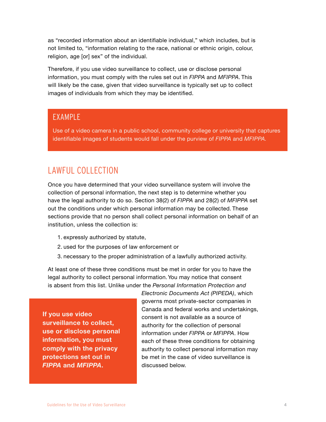as "recorded information about an identifiable individual," which includes, but is not limited to, "information relating to the race, national or ethnic origin, colour, religion, age [or] sex" of the individual.

Therefore, if you use video surveillance to collect, use or disclose personal information, you must comply with the rules set out in *FIPPA* and *MFIPPA*. This will likely be the case, given that video surveillance is typically set up to collect images of individuals from which they may be identified.

### EXAMPLE

Use of a video camera in a public school, community college or university that captures identifiable images of students would fall under the purview of *FIPPA* and *MFIPPA.*

# LAWFUL COLLECTION

Once you have determined that your video surveillance system will involve the collection of personal information, the next step is to determine whether you have the legal authority to do so. Section 38(2) of *FIPPA* and 28(2) of *MFIPPA* set out the conditions under which personal information may be collected. These sections provide that no person shall collect personal information on behalf of an institution, unless the collection is:

- 1. expressly authorized by statute,
- 2. used for the purposes of law enforcement or
- 3. necessary to the proper administration of a lawfully authorized activity.

At least one of these three conditions must be met in order for you to have the legal authority to collect personal information. You may notice that consent is absent from this list. Unlike under the *Personal Information Protection and* 

**If you use video surveillance to collect, use or disclose personal information, you must comply with the privacy protections set out in**  *FIPPA* **and** *MFIPPA***.**

*Electronic Documents Act (PIPEDA)*, which governs most private-sector companies in Canada and federal works and undertakings, consent is not available as a source of authority for the collection of personal information under *FIPPA* or *MFIPPA*. How each of these three conditions for obtaining authority to collect personal information may be met in the case of video surveillance is discussed below.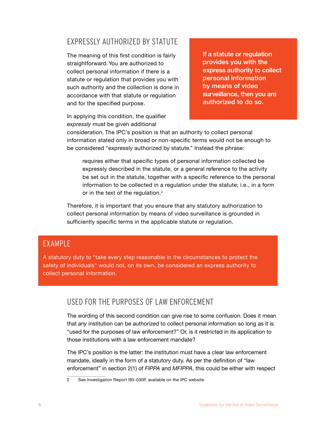### EXPRESSLY AUTHORIZED BY STATUTE

The meaning of this first condition is fairly straightforward. You are authorized to collect personal information if there is a statute or regulation that provides you with such authority and the collection is done in accordance with that statute or regulation and for the specified purpose.

In applying this condition, the qualifier *expressly* must be given additional

**If a statute or regulation provides you with the express authority to collect personal information by means of video surveillance, then you are authorized to do so.** 

consideration. The IPC's position is that an authority to collect personal information stated only in broad or non-specific terms would not be enough to be considered "expressly authorized by statute." Instead the phrase:

requires either that specific types of personal information collected be expressly described in the statute, or a general reference to the activity be set out in the statute, together with a specific reference to the personal information to be collected in a regulation under the statute; i.e., in a form or in the text of the regulation. $2$ 

Therefore, it is important that you ensure that any statutory authorization to collect personal information by means of video surveillance is grounded in sufficiently specific terms in the applicable statute or regulation.

### EXAMPLE

A statutory duty to "take every step reasonable in the circumstances to protect the safety of individuals" would not, on its own, be considered an express authority to collect personal information.

#### USED FOR THE PURPOSES OF LAW ENFORCEMENT

The wording of this second condition can give rise to some confusion. Does it mean that *any* institution can be authorized to collect personal information so long as it is "used for the purposes of law enforcement?" Or, is it restricted in its application to those institutions with a law enforcement mandate?

The IPC's position is the latter: the institution must have a clear law enforcement mandate, ideally in the form of a statutory duty. As per the definition of "law enforcement" in section 2(1) of *FIPPA* and *MFIPPA*, this could be either with respect

2 See Investigation Report I95-030P, available on the IPC website.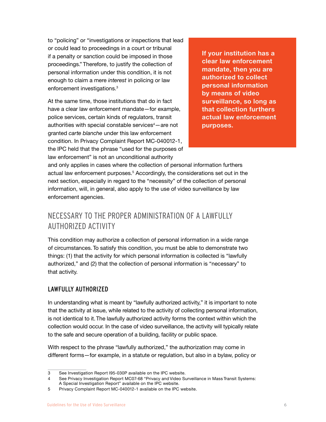to "policing" or "investigations or inspections that lead or could lead to proceedings in a court or tribunal if a penalty or sanction could be imposed in those proceedings." Therefore, to justify the collection of personal information under this condition, it is not enough to claim a mere *interest* in policing or law enforcement investigations.3

At the same time, those institutions that do in fact have a clear law enforcement mandate—for example, police services, certain kinds of regulators, transit authorities with special constable services<sup>4</sup>—are not granted *carte blanche* under this law enforcement condition. In Privacy Complaint Report MC-040012-1, the IPC held that the phrase "used for the purposes of law enforcement" is not an unconditional authority

**If your institution has a clear law enforcement mandate, then you are authorized to collect personal information by means of video surveillance, so long as that collection furthers actual law enforcement purposes.** 

and only applies in cases where the collection of personal information furthers actual law enforcement purposes.<sup>5</sup> Accordingly, the considerations set out in the next section, especially in regard to the "necessity" of the collection of personal information, will, in general, also apply to the use of video surveillance by law enforcement agencies.

### NECESSARY TO THE PROPER ADMINISTRATION OF A LAWFULLY AUTHORIZED ACTIVITY

This condition may authorize a collection of personal information in a wide range of circumstances. To satisfy this condition, you must be able to demonstrate two things: (1) that the activity for which personal information is collected is "lawfully authorized," and (2) that the collection of personal information is "necessary" to that activity.

#### LAWFULLY AUTHORIZED

In understanding what is meant by "lawfully authorized activity," it is important to note that the activity at issue, while related to the activity of collecting personal information, is not identical to it. The lawfully authorized activity forms the context within which the collection would occur. In the case of video surveillance, the activity will typically relate to the safe and secure operation of a building, facility or public space.

With respect to the phrase "lawfully authorized," the authorization may come in different forms—for example, in a statute or regulation, but also in a bylaw, policy or

<sup>3</sup> See Investigation Report I95-030P available on the IPC website.

<sup>4</sup> See Privacy Investigation Report MC07-68 "Privacy and Video Surveillance in Mass Transit Systems: A Special Investigation Report" available on the IPC website.

<sup>5</sup> Privacy Complaint Report MC-040012-1 available on the IPC website.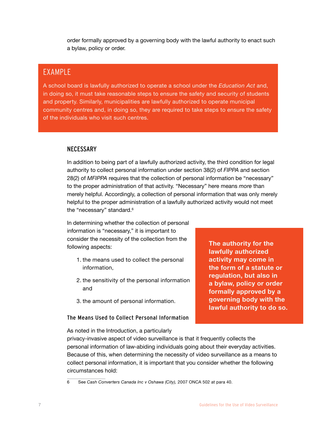order formally approved by a governing body with the lawful authority to enact such a bylaw, policy or order.

### EXAMPLE

A school board is lawfully authorized to operate a school under the *Education Act* and, in doing so, it must take reasonable steps to ensure the safety and security of students and property. Similarly, municipalities are lawfully authorized to operate municipal community centres and, in doing so, they are required to take steps to ensure the safety of the individuals who visit such centres.

#### **NECESSARY**

In addition to being part of a lawfully authorized activity, the third condition for legal authority to collect personal information under section 38(2) of *FIPPA* and section 28(2) of *MFIPPA* requires that the collection of personal information be "necessary" to the proper administration of that activity. "Necessary" here means *more* than merely helpful. Accordingly, a collection of personal information that was only merely helpful to the proper administration of a lawfully authorized activity would not meet the "necessary" standard.<sup>6</sup>

In determining whether the collection of personal information is "necessary," it is important to consider the necessity of the collection from the following aspects:

- 1. the means used to collect the personal information,
- 2. the sensitivity of the personal information and
- 3. the amount of personal information.

#### The Means Used to Collect Personal Information

**The authority for the lawfully authorized activity may come in the form of a statute or regulation, but also in a bylaw, policy or order formally approved by a governing body with the lawful authority to do so.** 

As noted in the Introduction, a particularly

privacy-invasive aspect of video surveillance is that it frequently collects the personal information of law-abiding individuals going about their everyday activities. Because of this, when determining the necessity of video surveillance as a means to collect personal information, it is important that you consider whether the following circumstances hold:

<sup>6</sup> See *Cash Converters Canada Inc v Oshawa (City),* 2007 ONCA 502 at para 40.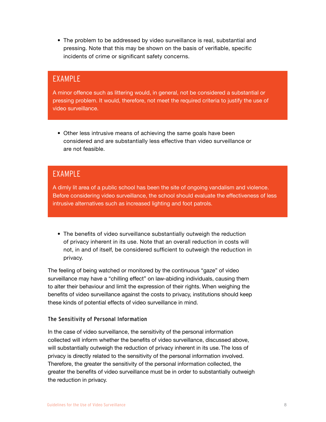• The problem to be addressed by video surveillance is real, substantial and pressing. Note that this may be shown on the basis of verifiable, specific incidents of crime or significant safety concerns.

### EXAMPLE

A minor offence such as littering would, in general, not be considered a substantial or pressing problem. It would, therefore, not meet the required criteria to justify the use of video surveillance.

• Other less intrusive means of achieving the same goals have been considered and are substantially less effective than video surveillance or are not feasible.

## EXAMPLE

A dimly lit area of a public school has been the site of ongoing vandalism and violence. Before considering video surveillance, the school should evaluate the effectiveness of less intrusive alternatives such as increased lighting and foot patrols.

• The benefits of video surveillance substantially outweigh the reduction of privacy inherent in its use. Note that an overall reduction in costs will not, in and of itself, be considered sufficient to outweigh the reduction in privacy.

The feeling of being watched or monitored by the continuous "gaze" of video surveillance may have a "chilling effect" on law-abiding individuals, causing them to alter their behaviour and limit the expression of their rights. When weighing the benefits of video surveillance against the costs to privacy, institutions should keep these kinds of potential effects of video surveillance in mind.

#### The Sensitivity of Personal Information

In the case of video surveillance, the sensitivity of the personal information collected will inform whether the benefits of video surveillance, discussed above, will substantially outweigh the reduction of privacy inherent in its use. The loss of privacy is directly related to the sensitivity of the personal information involved. Therefore, the greater the sensitivity of the personal information collected, the greater the benefits of video surveillance must be in order to substantially outweigh the reduction in privacy.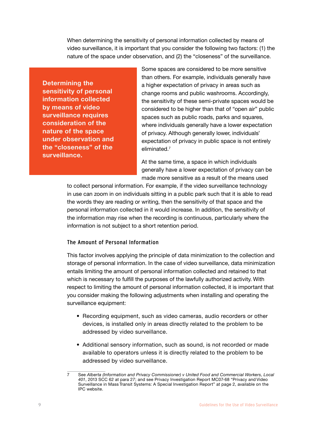When determining the sensitivity of personal information collected by means of video surveillance, it is important that you consider the following two factors: (1) the nature of the space under observation, and (2) the "closeness" of the surveillance.

**Determining the sensitivity of personal information collected by means of video surveillance requires consideration of the nature of the space under observation and the "closeness" of the surveillance.**

Some spaces are considered to be more sensitive than others. For example, individuals generally have a higher expectation of privacy in areas such as change rooms and public washrooms. Accordingly, the sensitivity of these semi-private spaces would be considered to be higher than that of "open air" public spaces such as public roads, parks and squares, where individuals generally have a lower expectation of privacy. Although generally lower, individuals' expectation of privacy in public space is not entirely eliminated.7

At the same time, a space in which individuals generally have a lower expectation of privacy can be made more sensitive as a result of the means used

to collect personal information. For example, if the video surveillance technology in use can zoom in on individuals sitting in a public park such that it is able to read the words they are reading or writing, then the sensitivity of that space and the personal information collected in it would increase. In addition, the sensitivity of the information may rise when the recording is continuous, particularly where the information is not subject to a short retention period.

#### The Amount of Personal Information

This factor involves applying the principle of data minimization to the collection and storage of personal information. In the case of video surveillance, data minimization entails limiting the amount of personal information collected and retained to that which is necessary to fulfill the purposes of the lawfully authorized activity. With respect to limiting the amount of personal information collected, it is important that you consider making the following adjustments when installing and operating the surveillance equipment:

- Recording equipment, such as video cameras, audio recorders or other devices, is installed only in areas directly related to the problem to be addressed by video surveillance.
- Additional sensory information, such as sound, is not recorded or made available to operators unless it is directly related to the problem to be addressed by video surveillance.

<sup>7</sup> See *Alberta (Information and Privacy Commissioner) v United Food and Commercial Workers, Local 401*, 2013 SCC 62 at para 27; and see Privacy Investigation Report MC07-68 "Privacy and Video Surveillance in Mass Transit Systems: A Special Investigation Report" at page 2, available on the IPC website.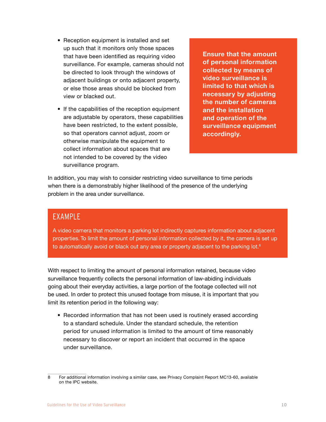- <span id="page-12-0"></span>• Reception equipment is installed and set up such that it monitors only those spaces that have been identified as requiring video surveillance. For example, cameras should not be directed to look through the windows of adjacent buildings or onto adjacent property, or else those areas should be blocked from view or blacked out.
- If the capabilities of the reception equipment are adjustable by operators, these capabilities have been restricted, to the extent possible, so that operators cannot adjust, zoom or otherwise manipulate the equipment to collect information about spaces that are not intended to be covered by the video surveillance program.

**Ensure that the amount of personal information collected by means of video surveillance is limited to that which is necessary by adjusting the number of cameras and the installation and operation of the surveillance equipment accordingly.**

In addition, you may wish to consider restricting video surveillance to time periods when there is a demonstrably higher likelihood of the presence of the underlying problem in the area under surveillance.

### EXAMPLE

A video camera that monitors a parking lot indirectly captures information about adjacent properties. To limit the amount of personal information collected by it, the camera is set up to automatically avoid or black out any area or property adjacent to the parking lot. $8$ 

With respect to limiting the amount of personal information retained, because video surveillance frequently collects the personal information of law-abiding individuals going about their everyday activities, a large portion of the footage collected will not be used. In order to protect this unused footage from misuse, it is important that you limit its retention period in the following way:

• Recorded information that has not been used is routinely erased according to a standard schedule. Under the standard schedule, the retention period for unused information is limited to the amount of time reasonably necessary to discover or report an incident that occurred in the space under surveillance.

<sup>8</sup> For additional information involving a similar case, see Privacy Complaint Report MC13-60, available on the IPC website.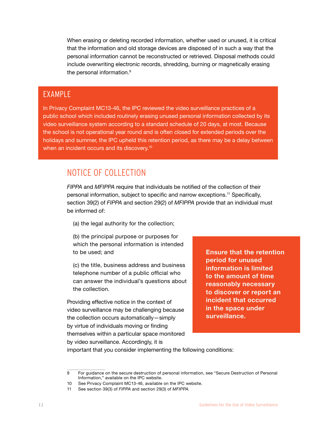<span id="page-13-0"></span>When erasing or deleting recorded information, whether used or unused, it is critical that the information and old storage devices are disposed of in such a way that the personal information cannot be reconstructed or retrieved. Disposal methods could include overwriting electronic records, shredding, burning or magnetically erasing the personal information.<sup>9</sup>

### EXAMPLE

In Privacy Complaint MC13-46, the IPC reviewed the video surveillance practices of a public school which included routinely erasing unused personal information collected by its video surveillance system according to a standard schedule of 20 days, at most. Because the school is not operational year round and is often closed for extended periods over the holidays and summer, the IPC upheld this retention period, as there may be a delay between when an incident occurs and its discovery.<sup>10</sup>

# NOTICE OF COLLECTION

*FIPPA* and *MFIPPA* require that individuals be notified of the collection of their personal information, subject to specific and narrow exceptions.11 Specifically, section 39(2) of *FIPPA* and section 29(2) of *MFIPPA* provide that an individual must be informed of:

- (a) the legal authority for the collection;
- (b) the principal purpose or purposes for which the personal information is intended to be used; and
- (c) the title, business address and business telephone number of a public official who can answer the individual's questions about the collection.

Providing effective notice in the context of video surveillance may be challenging because the collection occurs automatically—simply by virtue of individuals moving or finding themselves within a particular space monitored by video surveillance. Accordingly, it is

**Ensure that the retention period for unused information is limited to the amount of time reasonably necessary to discover or report an incident that occurred in the space under surveillance.** 

important that you consider implementing the following conditions:

<sup>9</sup> For guidance on the secure destruction of personal information, see "Secure Destruction of Personal Information," available on the IPC website.

<sup>10</sup> See Privacy Complaint MC13-46, available on the IPC website.

<sup>11</sup> See section 39(3) of *FIPPA* and section 29(3) of *MFIPPA*.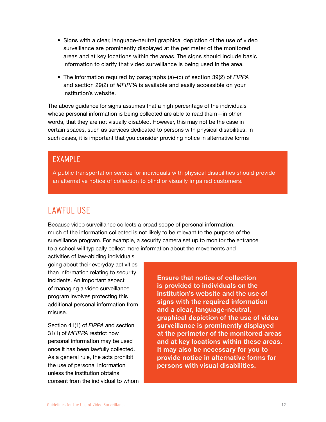- <span id="page-14-0"></span>• Signs with a clear, language-neutral graphical depiction of the use of video surveillance are prominently displayed at the perimeter of the monitored areas and at key locations within the areas. The signs should include basic information to clarify that video surveillance is being used in the area.
- The information required by paragraphs (a)–(c) of section 39(2) of *FIPPA* and section 29(2) of *MFIPPA* is available and easily accessible on your institution's website.

The above guidance for signs assumes that a high percentage of the individuals whose personal information is being collected are able to read them—in other words, that they are not visually disabled. However, this may not be the case in certain spaces, such as services dedicated to persons with physical disabilities. In such cases, it is important that you consider providing notice in alternative forms

### EXAMPLE

A public transportation service for individuals with physical disabilities should provide an alternative notice of collection to blind or visually impaired customers.

# LAWFUL USE

Because video surveillance collects a broad scope of personal information, much of the information collected is not likely to be relevant to the purpose of the surveillance program. For example, a security camera set up to monitor the entrance to a school will typically collect more information about the movements and

activities of law-abiding individuals going about their everyday activities than information relating to security incidents. An important aspect of managing a video surveillance program involves protecting this additional personal information from misuse.

Section 41(1) of *FIPPA* and section 31(1) of *MFIPPA* restrict how personal information may be used once it has been lawfully collected. As a general rule, the acts prohibit the use of personal information unless the institution obtains consent from the individual to whom **Ensure that notice of collection is provided to individuals on the institution's website and the use of signs with the required information and a clear, language-neutral, graphical depiction of the use of video surveillance is prominently displayed at the perimeter of the monitored areas and at key locations within these areas. It may also be necessary for you to provide notice in alternative forms for persons with visual disabilities.**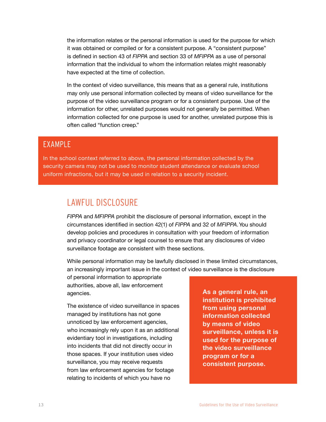<span id="page-15-0"></span>the information relates or the personal information is used for the purpose for which it was obtained or compiled or for a consistent purpose. A "consistent purpose" is defined in section 43 of *FIPPA* and section 33 of *MFIPPA* as a use of personal information that the individual to whom the information relates might reasonably have expected at the time of collection.

In the context of video surveillance, this means that as a general rule, institutions may only use personal information collected by means of video surveillance for the purpose of the video surveillance program or for a consistent purpose. Use of the information for other, unrelated purposes would not generally be permitted. When information collected for one purpose is used for another, unrelated purpose this is often called "function creep."

## EXAMPLE

In the school context referred to above, the personal information collected by the security camera may not be used to monitor student attendance or evaluate school uniform infractions, but it may be used in relation to a security incident.

# LAWFUL DISCLOSURE

*FIPPA* and *MFIPPA* prohibit the disclosure of personal information, except in the circumstances identified in section 42(1) of *FIPPA* and 32 of *MFIPPA*. You should develop policies and procedures in consultation with your freedom of information and privacy coordinator or legal counsel to ensure that any disclosures of video surveillance footage are consistent with these sections.

While personal information may be lawfully disclosed in these limited circumstances, an increasingly important issue in the context of video surveillance is the disclosure

of personal information to appropriate authorities, above all, law enforcement agencies.

The existence of video surveillance in spaces managed by institutions has not gone unnoticed by law enforcement agencies, who increasingly rely upon it as an additional evidentiary tool in investigations, including into incidents that did not directly occur in those spaces. If your institution uses video surveillance, you may receive requests from law enforcement agencies for footage relating to incidents of which you have no

**As a general rule, an institution is prohibited from using personal information collected by means of video surveillance, unless it is used for the purpose of the video surveillance program or for a consistent purpose.**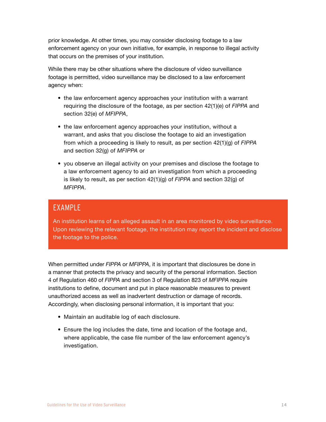<span id="page-16-0"></span>prior knowledge. At other times, you may consider disclosing footage to a law enforcement agency on your own initiative, for example, in response to illegal activity that occurs on the premises of your institution.

While there may be other situations where the disclosure of video surveillance footage is permitted, video surveillance may be disclosed to a law enforcement agency when:

- the law enforcement agency approaches your institution with a warrant requiring the disclosure of the footage, as per section 42(1)(e) of *FIPPA* and section 32(e) of *MFIPPA*,
- the law enforcement agency approaches your institution, without a warrant, and asks that you disclose the footage to aid an investigation from which a proceeding is likely to result, as per section 42(1)(g) of *FIPPA* and section 32(g) of *MFIPPA* or
- you observe an illegal activity on your premises and disclose the footage to a law enforcement agency to aid an investigation from which a proceeding is likely to result, as per section 42(1)(g) of *FIPPA* and section 32(g) of *MFIPPA*.

### EXAMPLE

An institution learns of an alleged assault in an area monitored by video surveillance. Upon reviewing the relevant footage, the institution may report the incident and disclose the footage to the police.

When permitted under *FIPPA* or *MFIPPA*, it is important that disclosures be done in a manner that protects the privacy and security of the personal information. Section 4 of Regulation 460 of *FIPPA* and section 3 of Regulation 823 of *MFIPPA* require institutions to define, document and put in place reasonable measures to prevent unauthorized access as well as inadvertent destruction or damage of records. Accordingly, when disclosing personal information, it is important that you:

- Maintain an auditable log of each disclosure.
- Ensure the log includes the date, time and location of the footage and, where applicable, the case file number of the law enforcement agency's investigation.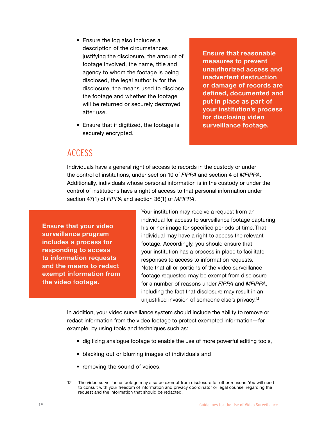- <span id="page-17-0"></span>• Ensure the log also includes a description of the circumstances justifying the disclosure, the amount of footage involved, the name, title and agency to whom the footage is being disclosed, the legal authority for the disclosure, the means used to disclose the footage and whether the footage will be returned or securely destroyed after use.
- Ensure that if digitized, the footage is securely encrypted.

**Ensure that reasonable measures to prevent unauthorized access and inadvertent destruction or damage of records are defined, documented and put in place as part of your institution's process for disclosing video surveillance footage.** 

### ACCESS

Individuals have a general right of access to records in the custody or under the control of institutions, under section 10 of *FIPPA* and section 4 of *MFIPPA*. Additionally, individuals whose personal information is in the custody or under the control of institutions have a right of access to that personal information under section 47(1) of *FIPPA* and section 36(1) of *MFIPPA*.

**Ensure that your video surveillance program includes a process for responding to access to information requests and the means to redact exempt information from the video footage.**

Your institution may receive a request from an individual for access to surveillance footage capturing his or her image for specified periods of time. That individual may have a right to access the relevant footage. Accordingly, you should ensure that your institution has a process in place to facilitate responses to access to information requests. Note that all or portions of the video surveillance footage requested may be exempt from disclosure for a number of reasons under *FIPPA* and *MFIPPA*, including the fact that disclosure may result in an unjustified invasion of someone else's privacy.12

In addition, your video surveillance system should include the ability to remove or redact information from the video footage to protect exempted information—for example, by using tools and techniques such as:

- digitizing analogue footage to enable the use of more powerful editing tools,
- blacking out or blurring images of individuals and
- removing the sound of voices.

<sup>12</sup> The video surveillance footage may also be exempt from disclosure for other reasons. You will need to consult with your freedom of information and privacy coordinator or legal counsel regarding the request and the information that should be redacted.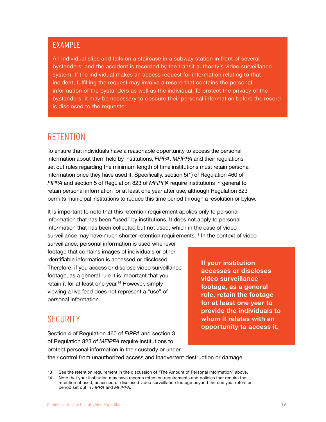### <span id="page-18-0"></span>EXAMPLE

An individual slips and falls on a staircase in a subway station in front of several bystanders, and the accident is recorded by the transit authority's video surveillance system. If the individual makes an access request for information relating to that incident, fulfilling the request may involve a record that contains the personal information of the bystanders as well as the individual. To protect the privacy of the bystanders, it may be necessary to obscure their personal information before the record is disclosed to the requester.

## **RETENTION**

To ensure that individuals have a reasonable opportunity to access the personal information about them held by institutions, *FIPPA*, *MFIPPA* and their regulations set out rules regarding the minimum length of time institutions must retain personal information once they have used it. Specifically, section 5(1) of Regulation 460 of *FIPPA* and section 5 of Regulation 823 of *MFIPPA* require institutions in general to retain personal information for at least one year after use, although Regulation 823 permits municipal institutions to reduce this time period through a resolution or bylaw.

It is important to note that this retention requirement applies only to personal information that has been "used" by institutions. It does not apply to personal information that has been collected but not used, which in the case of video surveillance may have much shorter retention requirements.<sup>13</sup> In the context of video

surveillance, personal information is used whenever footage that contains images of individuals or other identifiable information is accessed or disclosed. Therefore, if you access or disclose video surveillance footage, as a general rule it is important that you retain it for at least one year.<sup>14</sup> However, simply viewing a live feed does not represent a "use" of personal information.

**If your institution accesses or discloses video surveillance footage, as a general rule, retain the footage for at least one year to provide the individuals to whom it relates with an opportunity to access it.** 

# **SECURITY**

Section 4 of Regulation 460 of *FIPPA* and section 3 of Regulation 823 of *MFIPPA* require institutions to protect personal information in their custody or under

their control from unauthorized access and inadvertent destruction or damage.

<sup>13</sup> See the retention requirement in the discussion of "The Amount of Personal Information" above.

<sup>14</sup> Note that your institution may have records retention requirements and policies that require the retention of used, accessed or disclosed video surveillance footage beyond the one year retention period set out in *FIPPA* and *MFIPPA*.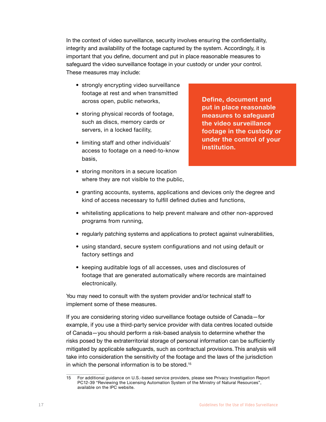<span id="page-19-0"></span>In the context of video surveillance, security involves ensuring the confidentiality, integrity and availability of the footage captured by the system. Accordingly, it is important that you define, document and put in place reasonable measures to safeguard the video surveillance footage in your custody or under your control. These measures may include:

- strongly encrypting video surveillance footage at rest and when transmitted across open, public networks,
- storing physical records of footage, such as discs, memory cards or servers, in a locked facility,
- limiting staff and other individuals' access to footage on a need-to-know basis,
- storing monitors in a secure location where they are not visible to the public,

**Define, document and put in place reasonable measures to safeguard the video surveillance footage in the custody or under the control of your institution.** 

- granting accounts, systems, applications and devices only the degree and kind of access necessary to fulfill defined duties and functions,
- whitelisting applications to help prevent malware and other non-approved programs from running,
- regularly patching systems and applications to protect against vulnerabilities,
- using standard, secure system configurations and not using default or factory settings and
- keeping auditable logs of all accesses, uses and disclosures of footage that are generated automatically where records are maintained electronically.

You may need to consult with the system provider and/or technical staff to implement some of these measures.

If you are considering storing video surveillance footage outside of Canada—for example, if you use a third-party service provider with data centres located outside of Canada—you should perform a risk-based analysis to determine whether the risks posed by the extraterritorial storage of personal information can be sufficiently mitigated by applicable safeguards, such as contractual provisions. This analysis will take into consideration the sensitivity of the footage and the laws of the jurisdiction in which the personal information is to be stored.<sup>15</sup>

<sup>15</sup> For additional guidance on U.S.-based service providers, please see Privacy Investigation Report PC12-39 "Reviewing the Licensing Automation System of the Ministry of Natural Resources", available on the IPC website.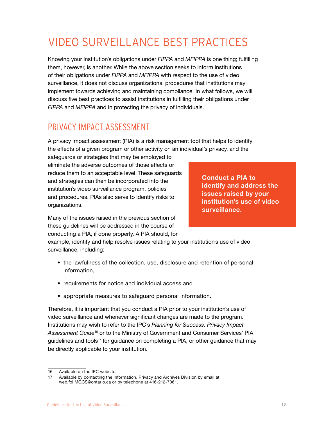# VIDEO SURVEILLANCE BEST PRACTICES

Knowing your institution's obligations under *FIPPA* and *MFIPPA* is one thing; fulfilling them, however, is another. While the above section seeks to inform institutions of their obligations under *FIPPA* and *MFIPPA* with respect to the use of video surveillance, it does not discuss organizational procedures that institutions may implement towards achieving and maintaining compliance. In what follows, we will discuss five best practices to assist institutions in fulfilling their obligations under *FIPPA* and *MFIPPA* and in protecting the privacy of individuals.

# PRIVACY IMPACT ASSESSMENT

A privacy impact assessment (PIA) is a risk management tool that helps to identify the effects of a given program or other activity on an individual's privacy, and the

safeguards or strategies that may be employed to eliminate the adverse outcomes of those effects or reduce them to an acceptable level. These safeguards and strategies can then be incorporated into the institution's video surveillance program, policies and procedures. PIAs also serve to identify risks to organizations.

**Conduct a PIA to identify and address the issues raised by your institution's use of video surveillance.**

Many of the issues raised in the previous section of these guidelines will be addressed in the course of conducting a PIA, if done properly. A PIA should, for

example, identify and help resolve issues relating to your institution's use of video surveillance, including:

- the lawfulness of the collection, use, disclosure and retention of personal information,
- requirements for notice and individual access and
- appropriate measures to safeguard personal information.

Therefore, it is important that you conduct a PIA prior to your institution's use of video surveillance and whenever significant changes are made to the program. Institutions may wish to refer to the IPC's *Planning for Success: Privacy Impact Assessment Guide*16 or to the Ministry of Government and Consumer Services' PIA guidelines and tools<sup>17</sup> for guidance on completing a PIA, or other guidance that may be directly applicable to your institution.

<sup>16</sup> Available on the IPC website.

<sup>17</sup> Available by contacting the Information, Privacy and Archives Division by email at web.foi.MGCS@ontario.ca or by telephone at 416-212-7061.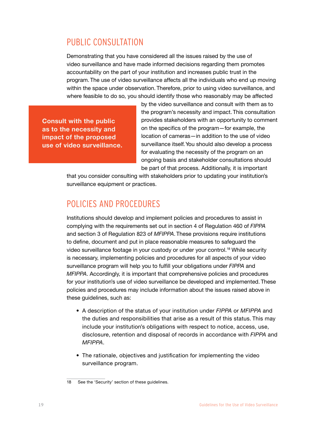### <span id="page-21-0"></span>PUBLIC CONSULTATION

Demonstrating that you have considered all the issues raised by the use of video surveillance and have made informed decisions regarding them promotes accountability on the part of your institution and increases public trust in the program. The use of video surveillance affects all the individuals who end up moving within the space under observation. Therefore, prior to using video surveillance, and where feasible to do so, you should identify those who reasonably may be affected

**Consult with the public as to the necessity and impact of the proposed use of video surveillance.** by the video surveillance and consult with them as to the program's necessity and impact. This consultation provides stakeholders with an opportunity to comment on the specifics of the program—for example, the location of cameras—in addition to the use of video surveillance itself. You should also develop a process for evaluating the necessity of the program on an ongoing basis and stakeholder consultations should be part of that process. Additionally, it is important

that you consider consulting with stakeholders prior to updating your institution's surveillance equipment or practices.

## POLICIES AND PROCEDURES

Institutions should develop and implement policies and procedures to assist in complying with the requirements set out in section 4 of Regulation 460 of *FIPPA* and section 3 of Regulation 823 of *MFIPPA*. These provisions require institutions to define, document and put in place reasonable measures to safeguard the video surveillance footage in your custody or under your control.18 While security is necessary, implementing policies and procedures for all aspects of your video surveillance program will help you to fulfill your obligations under *FIPPA* and *MFIPPA*. Accordingly, it is important that comprehensive policies and procedures for your institution's use of video surveillance be developed and implemented. These policies and procedures may include information about the issues raised above in these guidelines, such as:

- A description of the status of your institution under *FIPPA* or *MFIPPA* and the duties and responsibilities that arise as a result of this status. This may include your institution's obligations with respect to notice, access, use, disclosure, retention and disposal of records in accordance with *FIPPA* and *MFIPPA*.
- The rationale, objectives and justification for implementing the video surveillance program.

<sup>18</sup> See the 'Security' section of these guidelines.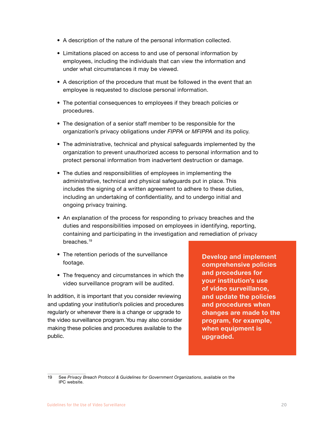- <span id="page-22-0"></span>• A description of the nature of the personal information collected.
- Limitations placed on access to and use of personal information by employees, including the individuals that can view the information and under what circumstances it may be viewed.
- A description of the procedure that must be followed in the event that an employee is requested to disclose personal information.
- The potential consequences to employees if they breach policies or procedures.
- The designation of a senior staff member to be responsible for the organization's privacy obligations under *FIPPA* or *MFIPPA* and its policy.
- The administrative, technical and physical safeguards implemented by the organization to prevent unauthorized access to personal information and to protect personal information from inadvertent destruction or damage.
- The duties and responsibilities of employees in implementing the administrative, technical and physical safeguards put in place. This includes the signing of a written agreement to adhere to these duties, including an undertaking of confidentiality, and to undergo initial and ongoing privacy training.
- An explanation of the process for responding to privacy breaches and the duties and responsibilities imposed on employees in identifying, reporting, containing and participating in the investigation and remediation of privacy breaches.19
- The retention periods of the surveillance footage.
- The frequency and circumstances in which the video surveillance program will be audited.

In addition, it is important that you consider reviewing and updating your institution's policies and procedures regularly or whenever there is a change or upgrade to the video surveillance program. You may also consider making these policies and procedures available to the public.

**Develop and implement comprehensive policies and procedures for your institution's use of video surveillance, and update the policies and procedures when changes are made to the program, for example, when equipment is upgraded.** 

<sup>19</sup> See *Privacy Breach Protocol & Guidelines for Government Organizations*, available on the IPC website.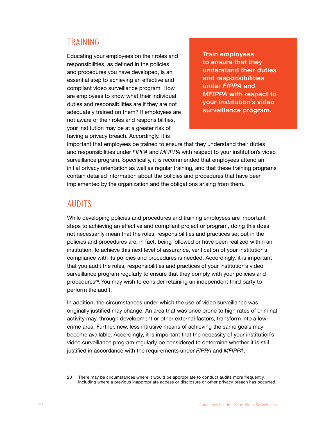## <span id="page-23-0"></span>TRAINING

Educating your employees on their roles and responsibilities, as defined in the policies and procedures you have developed, is an essential step to achieving an effective and compliant video surveillance program. How are employees to know what their individual duties and responsibilities are if they are not adequately trained on them? If employees are not aware of their roles and responsibilities, your institution may be at a greater risk of having a privacy breach. Accordingly, it is

**Train employees to ensure that they understand their duties and responsibilities under** *FIPPA* **and**  *MFIPPA* **with respect to your institution's video surveillance program.**

important that employees be trained to ensure that they understand their duties and responsibilities under *FIPPA* and *MFIPPA* with respect to your institution's video surveillance program. Specifically, it is recommended that employees attend an initial privacy orientation as well as regular training, and that these training programs contain detailed information about the policies and procedures that have been implemented by the organization and the obligations arising from them.

## AUDITS

While developing policies and procedures and training employees are important steps to achieving an effective and compliant project or program, doing this does not necessarily mean that the roles, responsibilities and practices set out in the policies and procedures are, in fact, being followed or have been realized within an institution. To achieve this next level of assurance, verification of your institution's compliance with its policies and procedures is needed. Accordingly, it is important that you audit the roles, responsibilities and practices of your institution's video surveillance program regularly to ensure that they comply with your policies and procedures<sup>20</sup>. You may wish to consider retaining an independent third party to perform the audit.

In addition, the circumstances under which the use of video surveillance was originally justified may change. An area that was once prone to high rates of criminal activity may, through development or other external factors, transform into a lowcrime area. Further, new, less intrusive means of achieving the same goals may become available. Accordingly, it is important that the necessity of your institution's video surveillance program regularly be considered to determine whether it is still justified in accordance with the requirements under *FIPPA* and *MFIPPA*.

<sup>20</sup> There may be circumstances where it would be appropriate to conduct audits more frequently, including where a previous inappropriate access or disclosure or other privacy breach has occurred.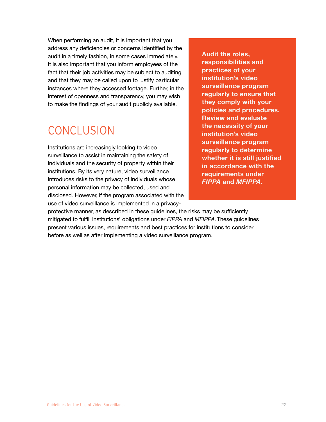When performing an audit, it is important that you address any deficiencies or concerns identified by the audit in a timely fashion, in some cases immediately. It is also important that you inform employees of the fact that their job activities may be subject to auditing and that they may be called upon to justify particular instances where they accessed footage. Further, in the interest of openness and transparency, you may wish to make the findings of your audit publicly available.

# **CONCLUSION**

Institutions are increasingly looking to video surveillance to assist in maintaining the safety of individuals and the security of property within their institutions. By its very nature, video surveillance introduces risks to the privacy of individuals whose personal information may be collected, used and disclosed. However, if the program associated with the use of video surveillance is implemented in a privacy-

**Audit the roles, responsibilities and practices of your institution's video surveillance program regularly to ensure that they comply with your policies and procedures. Review and evaluate the necessity of your institution's video surveillance program regularly to determine whether it is still justified in accordance with the requirements under**  *FIPPA* **and** *MFIPPA***.**

protective manner, as described in these guidelines, the risks may be sufficiently mitigated to fulfill institutions' obligations under *FIPPA* and *MFIPPA*. These guidelines present various issues, requirements and best practices for institutions to consider before as well as after implementing a video surveillance program.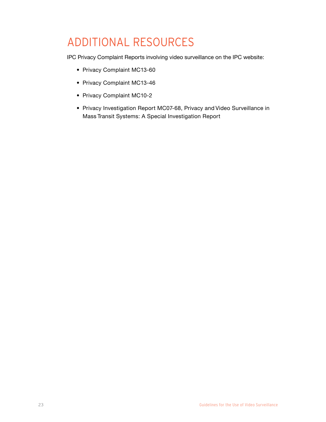# ADDITIONAL RESOURCES

IPC Privacy Complaint Reports involving video surveillance on the IPC website:

- Privacy Complaint MC13-60
- Privacy Complaint MC13-46
- Privacy Complaint MC10-2
- Privacy Investigation Report MC07-68, Privacy and Video Surveillance in Mass Transit Systems: A Special Investigation Report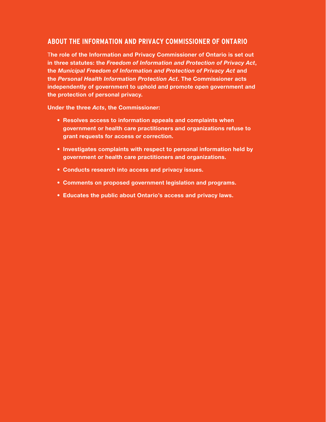#### **ABOUT THE INFORMATION AND PRIVACY COMMISSIONER OF ONTARIO**

T**he role of the Information and Privacy Commissioner of Ontario is set out in three statutes: the** *Freedom of Information and Protection of Privacy Act***, the** *Municipal Freedom of Information and Protection of Privacy Act* **and the** *Personal Health Information Protection Act***. The Commissioner acts independently of government to uphold and promote open government and the protection of personal privacy.**

**Under the three** *Acts***, the Commissioner:**

- **• Resolves access to information appeals and complaints when government or health care practitioners and organizations refuse to grant requests for access or correction.**
- **• Investigates complaints with respect to personal information held by government or health care practitioners and organizations.**
- **• Conducts research into access and privacy issues.**
- **• Comments on proposed government legislation and programs.**
- **• Educates the public about Ontario's access and privacy laws.**